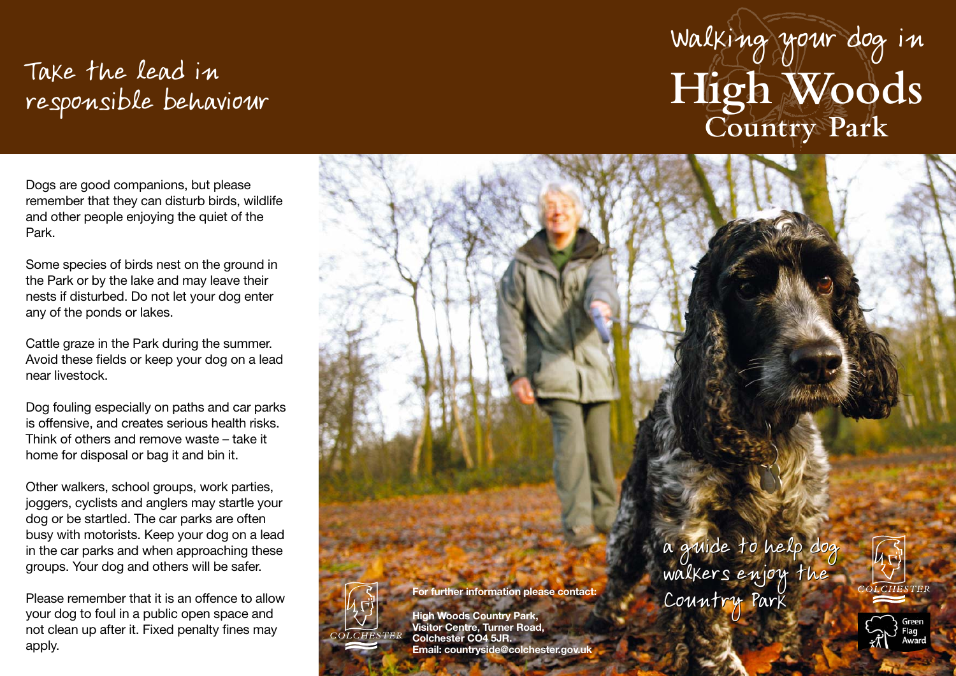## Take the lead in responsible behaviour

## Walking your dog in **High Woods Country Park**

Dogs are good companions, but please remember that they can disturb birds, wildlife and other people enjoying the quiet of the Park.

Some species of birds nest on the ground in the Park or by the lake and may leave their nests if disturbed. Do not let your dog enter any of the ponds or lakes.

Cattle graze in the Park during the summer. Avoid these fields or keep your dog on a lead near livestock.

Dog fouling especially on paths and car parks is offensive, and creates serious health risks. Think of others and remove waste – take it home for disposal or bag it and bin it.

Other walkers, school groups, work parties, joggers, cyclists and anglers may startle your dog or be startled. The car parks are often busy with motorists. Keep your dog on a lead in the car parks and when approaching these groups. Your dog and others will be safer.

Please remember that it is an offence to allow your dog to foul in a public open space and not clean up after it. Fixed penalty fines may apply.



**High Woods Country Park, Visitor Centre, Turner Road, Colchester CO4 5JR.** 

**For further information please contact:**

**Email: countryside@colchester.gov.uk**

a guide to help dog walkers enjoy the Country Park a guide to help dog walkers enjoy the Country Par